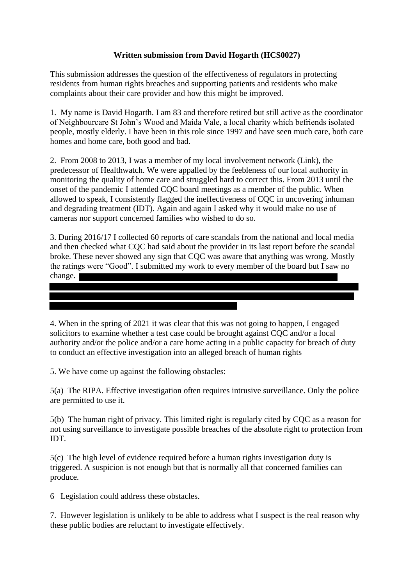## **Written submission from David Hogarth (HCS0027)**

This submission addresses the question of the effectiveness of regulators in protecting residents from human rights breaches and supporting patients and residents who make complaints about their care provider and how this might be improved.

1. My name is David Hogarth. I am 83 and therefore retired but still active as the coordinator of Neighbourcare St John's Wood and Maida Vale, a local charity which befriends isolated people, mostly elderly. I have been in this role since 1997 and have seen much care, both care homes and home care, both good and bad.

2. From 2008 to 2013, I was a member of my local involvement network (Link), the predecessor of Healthwatch. We were appalled by the feebleness of our local authority in monitoring the quality of home care and struggled hard to correct this. From 2013 until the onset of the pandemic I attended CQC board meetings as a member of the public. When allowed to speak, I consistently flagged the ineffectiveness of CQC in uncovering inhuman and degrading treatment (IDT). Again and again I asked why it would make no use of cameras nor support concerned families who wished to do so.

3. During 2016/17 I collected 60 reports of care scandals from the national and local media and then checked what CQC had said about the provider in its last report before the scandal broke. These never showed any sign that CQC was aware that anything was wrong. Mostly the ratings were "Good". I submitted my work to every member of the board but I saw no change.

4. When in the spring of 2021 it was clear that this was not going to happen, I engaged solicitors to examine whether a test case could be brought against CQC and/or a local authority and/or the police and/or a care home acting in a public capacity for breach of duty to conduct an effective investigation into an alleged breach of human rights

5. We have come up against the following obstacles:

5(a) The RIPA. Effective investigation often requires intrusive surveillance. Only the police are permitted to use it.

5(b) The human right of privacy. This limited right is regularly cited by CQC as a reason for not using surveillance to investigate possible breaches of the absolute right to protection from IDT.

5(c) The high level of evidence required before a human rights investigation duty is triggered. A suspicion is not enough but that is normally all that concerned families can produce.

6 Legislation could address these obstacles.

7. However legislation is unlikely to be able to address what I suspect is the real reason why these public bodies are reluctant to investigate effectively.